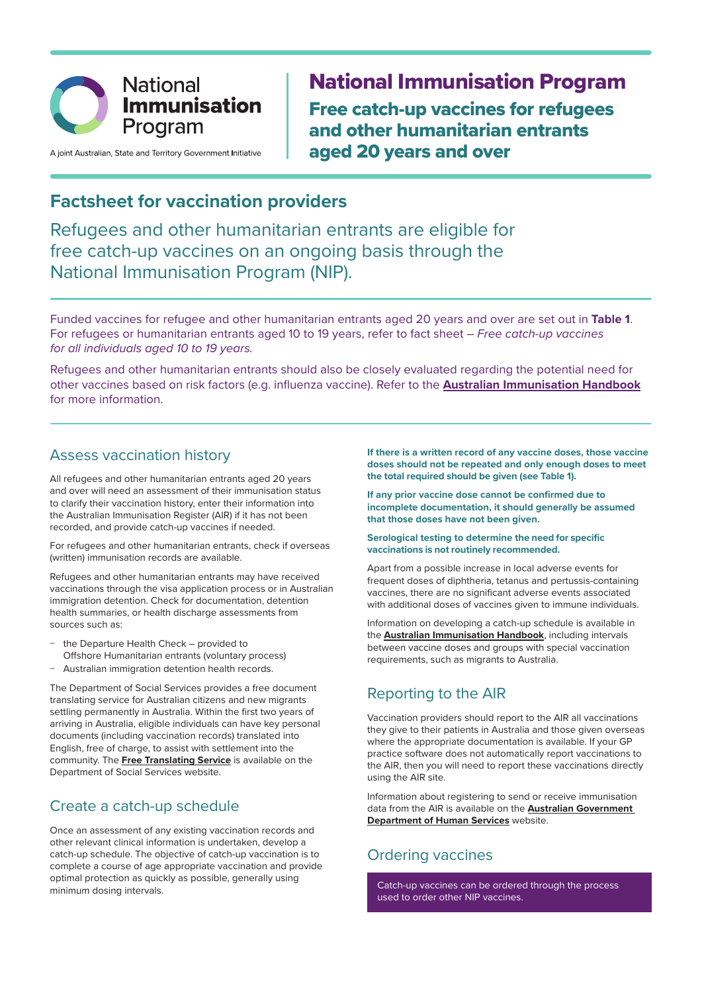

A joint Australian, State and Territory Government Initiative

National Immunisation Program Free catch-up vaccines for refugees and other humanitarian entrants aged 20 years and over

# **Factsheet for vaccination providers**

Refugees and other humanitarian entrants are eligible for free catch-up vaccines on an ongoing basis through the National Immunisation Program (NIP).

Funded vaccines for refugee and other humanitarian entrants aged 20 years and over are set out in **Table 1**. For refugees or humanitarian entrants aged 10 to 19 years, refer to fact sheet – *Free catch-up vaccines for all individuals aged 10 to 19 years.* 

Refugees and other humanitarian entrants should also be closely evaluated regarding the potential need for other vaccines based on risk factors (e.g. influenza vaccine). Refer to the **Australian Immunisation Handbook** for more information.

#### Assess vaccination history

All refugees and other humanitarian entrants aged 20 years and over will need an assessment of their immunisation status to clarify their vaccination history, enter their information into the Australian Immunisation Register (AIR) if it has not been recorded, and provide catch-up vaccines if needed.

For refugees and other humanitarian entrants, check if overseas (written) immunisation records are available.

Refugees and other humanitarian entrants may have received vaccinations through the visa application process or in Australian immigration detention. Check for documentation, detention health summaries, or health discharge assessments from sources such as:

- − the Departure Health Check provided to Offshore Humanitarian entrants (voluntary process)
- − Australian immigration detention health records.

The Department of Social Services provides a free document translating service for Australian citizens and new migrants settling permanently in Australia. Within the first two years of arriving in Australia, eligible individuals can have key personal documents (including vaccination records) translated into English, free of charge, to assist with settlement into the community. The **Free Translating Service** is available on the Department of Social Services website.

### Create a catch-up schedule

Once an assessment of any existing vaccination records and other relevant clinical information is undertaken, develop a catch-up schedule. The objective of catch-up vaccination is to complete a course of age appropriate vaccination and provide optimal protection as quickly as possible, generally using minimum dosing intervals.

**If there is a written record of any vaccine doses, those vaccine doses should not be repeated and only enough doses to meet the total required should be given (see Table 1).** 

**If any prior vaccine dose cannot be confirmed due to incomplete documentation, it should generally be assumed that those doses have not been given.** 

#### **Serological testing to determine the need for specific vaccinations is not routinely recommended.**

Apart from a possible increase in local adverse events for frequent doses of diphtheria, tetanus and pertussis-containing vaccines, there are no significant adverse events associated with additional doses of vaccines given to immune individuals.

Information on developing a catch-up schedule is available in the **Australian Immunisation Handbook**, including intervals between vaccine doses and groups with special vaccination requirements, such as migrants to Australia.

### Reporting to the AIR

Vaccination providers should report to the AIR all vaccinations they give to their patients in Australia and those given overseas where the appropriate documentation is available. If your GP practice software does not automatically report vaccinations to the AIR, then you will need to report these vaccinations directly using the AIR site.

Information about registering to send or receive immunisation data from the AIR is available on the **Australian Government Department of Human Services** website.

# Ordering vaccines

Catch-up vaccines can be ordered through the process used to order other NIP vaccines.